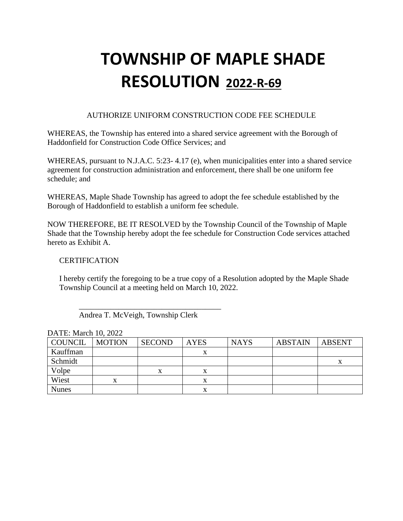### AUTHORIZE UNIFORM CONSTRUCTION CODE FEE SCHEDULE

WHEREAS, the Township has entered into a shared service agreement with the Borough of Haddonfield for Construction Code Office Services; and

WHEREAS, pursuant to N.J.A.C. 5:23- 4.17 (e), when municipalities enter into a shared service agreement for construction administration and enforcement, there shall be one uniform fee schedule; and

WHEREAS, Maple Shade Township has agreed to adopt the fee schedule established by the Borough of Haddonfield to establish a uniform fee schedule.

NOW THEREFORE, BE IT RESOLVED by the Township Council of the Township of Maple Shade that the Township hereby adopt the fee schedule for Construction Code services attached hereto as Exhibit A.

### **CERTIFICATION**

I hereby certify the foregoing to be a true copy of a Resolution adopted by the Maple Shade Township Council at a meeting held on March 10, 2022.

 $\overline{\phantom{a}}$  , which is the set of the set of the set of the set of the set of the set of the set of the set of the set of the set of the set of the set of the set of the set of the set of the set of the set of the set of Andrea T. McVeigh, Township Clerk

| $P1111$ $P11111$ $P1111$ |               |               |             |             |                |        |
|--------------------------|---------------|---------------|-------------|-------------|----------------|--------|
| COUNCIL                  | <b>MOTION</b> | <b>SECOND</b> | <b>AYES</b> | <b>NAYS</b> | <b>ABSTAIN</b> | ABSENT |
| Kauffman                 |               |               |             |             |                |        |
| Schmidt                  |               |               |             |             |                | x      |
| Volpe                    |               |               | x           |             |                |        |
| Wiest                    | X             |               | х           |             |                |        |
| <b>Nunes</b>             |               |               | X           |             |                |        |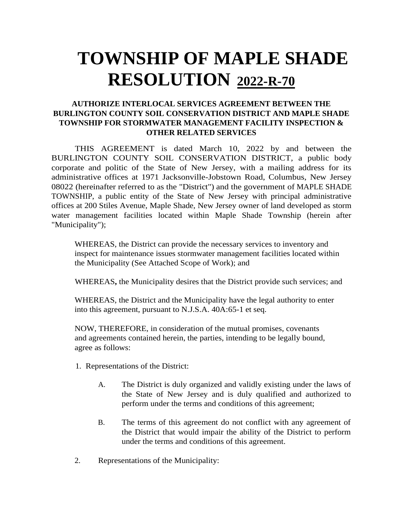## **AUTHORIZE INTERLOCAL SERVICES AGREEMENT BETWEEN THE BURLINGTON COUNTY SOIL CONSERVATION DISTRICT AND MAPLE SHADE TOWNSHIP FOR STORMWATER MANAGEMENT FACILITY INSPECTION & OTHER RELATED SERVICES**

THIS AGREEMENT is dated March 10, 2022 by and between the BURLINGTON COUNTY SOIL CONSERVATION DISTRICT*,* a public body corporate and politic of the State of New Jersey, with a mailing address for its administrative offices at 1971 Jacksonville-Jobstown Road, Columbus, New Jersey 08022 (hereinafter referred to as the "District") and the government of MAPLE SHADE TOWNSHIP, a public entity of the State of New Jersey with principal administrative offices at 200 Stiles Avenue, Maple Shade, New Jersey owner of land developed as storm water management facilities located within Maple Shade Township (herein after "Municipality");

WHEREAS, the District can provide the necessary services to inventory and inspect for maintenance issues stormwater management facilities located within the Municipality (See Attached Scope of Work); and

WHEREAS**,** the Municipality desires that the District provide such services; and

WHEREAS, the District and the Municipality have the legal authority to enter into this agreement, pursuant to N.J.S.A. 40A:65-1 et seq.

NOW, THEREFORE, in consideration of the mutual promises, covenants and agreements contained herein, the parties, intending to be legally bound, agree as follows:

- 1. Representations of the District:
	- A. The District is duly organized and validly existing under the laws of the State of New Jersey and is duly qualified and authorized to perform under the terms and conditions of this agreement;
	- B. The terms of this agreement do not conflict with any agreement of the District that would impair the ability of the District to perform under the terms and conditions of this agreement.
- 2. Representations of the Municipality: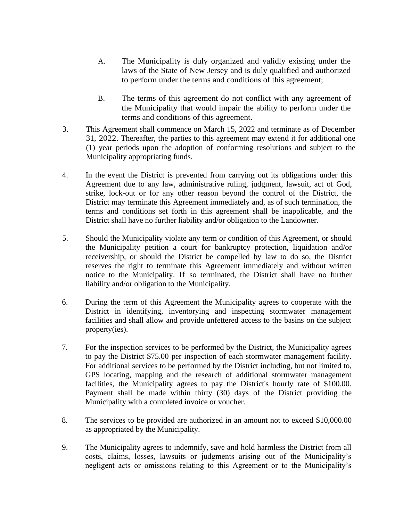- A. The Municipality is duly organized and validly existing under the laws of the State of New Jersey and is duly qualified and authorized to perform under the terms and conditions of this agreement;
- B. The terms of this agreement do not conflict with any agreement of the Municipality that would impair the ability to perform under the terms and conditions of this agreement.
- 3. This Agreement shall commence on March 15, 2022 and terminate as of December 31, 2022. Thereafter, the parties to this agreement may extend it for additional one (1) year periods upon the adoption of conforming resolutions and subject to the Municipality appropriating funds.
- 4. In the event the District is prevented from carrying out its obligations under this Agreement due to any law, administrative ruling, judgment, lawsuit, act of God, strike, lock-out or for any other reason beyond the control of the District, the District may terminate this Agreement immediately and, as of such termination, the terms and conditions set forth in this agreement shall be inapplicable, and the District shall have no further liability and/or obligation to the Landowner.
- 5. Should the Municipality violate any term or condition of this Agreement, or should the Municipality petition a court for bankruptcy protection, liquidation and/or receivership, or should the District be compelled by law to do so, the District reserves the right to terminate this Agreement immediately and without written notice to the Municipality. If so terminated, the District shall have no further liability and/or obligation to the Municipality.
- 6. During the term of this Agreement the Municipality agrees to cooperate with the District in identifying, inventorying and inspecting stormwater management facilities and shall allow and provide unfettered access to the basins on the subject property(ies).
- 7. For the inspection services to be performed by the District, the Municipality agrees to pay the District \$75.00 per inspection of each stormwater management facility. For additional services to be performed by the District including, but not limited to, GPS locating, mapping and the research of additional stormwater management facilities, the Municipality agrees to pay the District's hourly rate of \$100.00. Payment shall be made within thirty (30) days of the District providing the Municipality with a completed invoice or voucher.
- 8. The services to be provided are authorized in an amount not to exceed \$10,000.00 as appropriated by the Municipality.
- 9. The Municipality agrees to indemnify, save and hold harmless the District from all costs, claims, losses, lawsuits or judgments arising out of the Municipality's negligent acts or omissions relating to this Agreement or to the Municipality's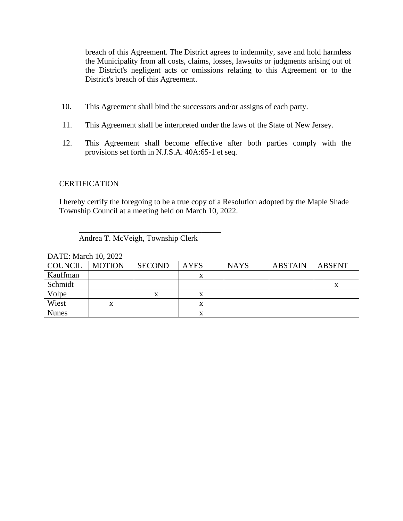breach of this Agreement. The District agrees to indemnify, save and hold harmless the Municipality from all costs, claims, losses, lawsuits or judgments arising out of the District's negligent acts or omissions relating to this Agreement or to the District's breach of this Agreement.

- 10. This Agreement shall bind the successors and/or assigns of each party.
- 11. This Agreement shall be interpreted under the laws of the State of New Jersey.
- 12. This Agreement shall become effective after both parties comply with the provisions set forth in N.J.S.A. 40A:65-1 et seq.

#### **CERTIFICATION**

I hereby certify the foregoing to be a true copy of a Resolution adopted by the Maple Shade Township Council at a meeting held on March 10, 2022.

#### Andrea T. McVeigh, Township Clerk

 $\overline{\phantom{a}}$  , which is the set of the set of the set of the set of the set of the set of the set of the set of the set of the set of the set of the set of the set of the set of the set of the set of the set of the set of

| <b>COUNCIL</b> | <b>MOTION</b> | <b>SECOND</b> | <b>AYES</b> | <b>NAYS</b> | <b>ABSTAIN</b> | <b>ABSENT</b> |
|----------------|---------------|---------------|-------------|-------------|----------------|---------------|
| Kauffman       |               |               | $\Lambda$   |             |                |               |
| Schmidt        |               |               |             |             |                | л             |
| Volpe          |               | x             | л           |             |                |               |
| Wiest          | X             |               | x           |             |                |               |
| <b>Nunes</b>   |               |               |             |             |                |               |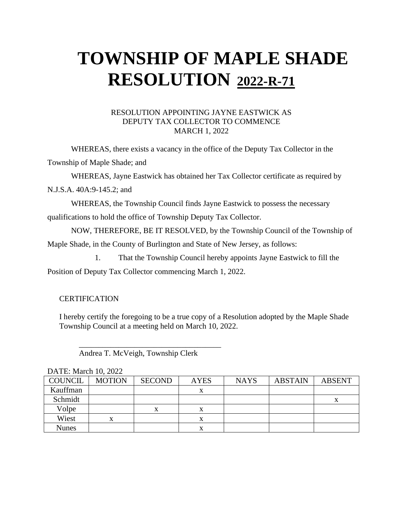#### RESOLUTION APPOINTING JAYNE EASTWICK AS DEPUTY TAX COLLECTOR TO COMMENCE MARCH 1, 2022

WHEREAS, there exists a vacancy in the office of the Deputy Tax Collector in the

Township of Maple Shade; and

WHEREAS, Jayne Eastwick has obtained her Tax Collector certificate as required by

N.J.S.A. 40A:9-145.2; and

WHEREAS, the Township Council finds Jayne Eastwick to possess the necessary qualifications to hold the office of Township Deputy Tax Collector.

NOW, THEREFORE, BE IT RESOLVED, by the Township Council of the Township of Maple Shade, in the County of Burlington and State of New Jersey, as follows:

1. That the Township Council hereby appoints Jayne Eastwick to fill the

Position of Deputy Tax Collector commencing March 1, 2022.

### **CERTIFICATION**

I hereby certify the foregoing to be a true copy of a Resolution adopted by the Maple Shade Township Council at a meeting held on March 10, 2022.

Andrea T. McVeigh, Township Clerk

 $\overline{\phantom{a}}$  , which is the set of the set of the set of the set of the set of the set of the set of the set of the set of the set of the set of the set of the set of the set of the set of the set of the set of the set of

| $D/TLL$ , ividicii 10, $2022$ |               |               |             |             |                |               |
|-------------------------------|---------------|---------------|-------------|-------------|----------------|---------------|
| <b>COUNCIL</b>                | <b>MOTION</b> | <b>SECOND</b> | <b>AYES</b> | <b>NAYS</b> | <b>ABSTAIN</b> | <b>ABSENT</b> |
| Kauffman                      |               |               | x           |             |                |               |
| Schmidt                       |               |               |             |             |                | $\Lambda$     |
| Volpe                         |               | v             |             |             |                |               |
| Wiest                         |               |               |             |             |                |               |
| Nunes                         |               |               |             |             |                |               |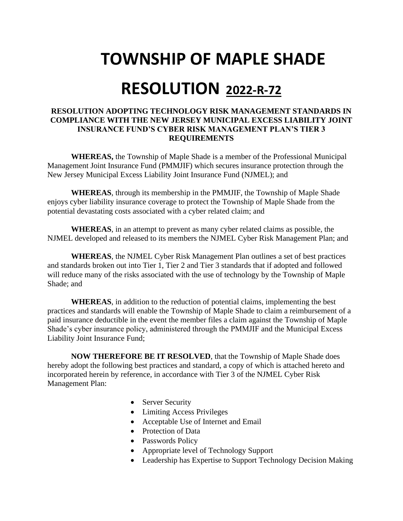# **TOWNSHIP OF MAPLE SHADE**

## **RESOLUTION 2022-R-72**

#### **RESOLUTION ADOPTING TECHNOLOGY RISK MANAGEMENT STANDARDS IN COMPLIANCE WITH THE NEW JERSEY MUNICIPAL EXCESS LIABILITY JOINT INSURANCE FUND'S CYBER RISK MANAGEMENT PLAN'S TIER 3 REQUIREMENTS**

**WHEREAS,** the Township of Maple Shade is a member of the Professional Municipal Management Joint Insurance Fund (PMMJIF) which secures insurance protection through the New Jersey Municipal Excess Liability Joint Insurance Fund (NJMEL); and

**WHEREAS**, through its membership in the PMMJIF, the Township of Maple Shade enjoys cyber liability insurance coverage to protect the Township of Maple Shade from the potential devastating costs associated with a cyber related claim; and

**WHEREAS**, in an attempt to prevent as many cyber related claims as possible, the NJMEL developed and released to its members the NJMEL Cyber Risk Management Plan; and

**WHEREAS**, the NJMEL Cyber Risk Management Plan outlines a set of best practices and standards broken out into Tier 1, Tier 2 and Tier 3 standards that if adopted and followed will reduce many of the risks associated with the use of technology by the Township of Maple Shade; and

**WHEREAS**, in addition to the reduction of potential claims, implementing the best practices and standards will enable the Township of Maple Shade to claim a reimbursement of a paid insurance deductible in the event the member files a claim against the Township of Maple Shade's cyber insurance policy, administered through the PMMJIF and the Municipal Excess Liability Joint Insurance Fund;

**NOW THEREFORE BE IT RESOLVED**, that the Township of Maple Shade does hereby adopt the following best practices and standard, a copy of which is attached hereto and incorporated herein by reference, in accordance with Tier 3 of the NJMEL Cyber Risk Management Plan:

- Server Security
- Limiting Access Privileges
- Acceptable Use of Internet and Email
- Protection of Data
- Passwords Policy
- Appropriate level of Technology Support
- Leadership has Expertise to Support Technology Decision Making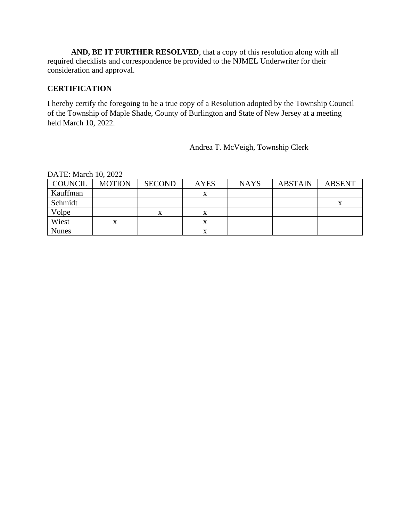**AND, BE IT FURTHER RESOLVED**, that a copy of this resolution along with all required checklists and correspondence be provided to the NJMEL Underwriter for their consideration and approval.

### **CERTIFICATION**

I hereby certify the foregoing to be a true copy of a Resolution adopted by the Township Council of the Township of Maple Shade, County of Burlington and State of New Jersey at a meeting held March 10, 2022.

Andrea T. McVeigh, Township Clerk

| COUNCIL      | <b>MOTION</b> | <b>SECOND</b> | <b>AYES</b> | <b>NAYS</b> | <b>ABSTAIN</b> | <b>ABSENT</b> |
|--------------|---------------|---------------|-------------|-------------|----------------|---------------|
| Kauffman     |               |               |             |             |                |               |
| Schmidt      |               |               |             |             |                | х             |
| Volpe        |               | х             | л           |             |                |               |
| Wiest        | x             |               | л           |             |                |               |
| <b>Nunes</b> |               |               | л           |             |                |               |